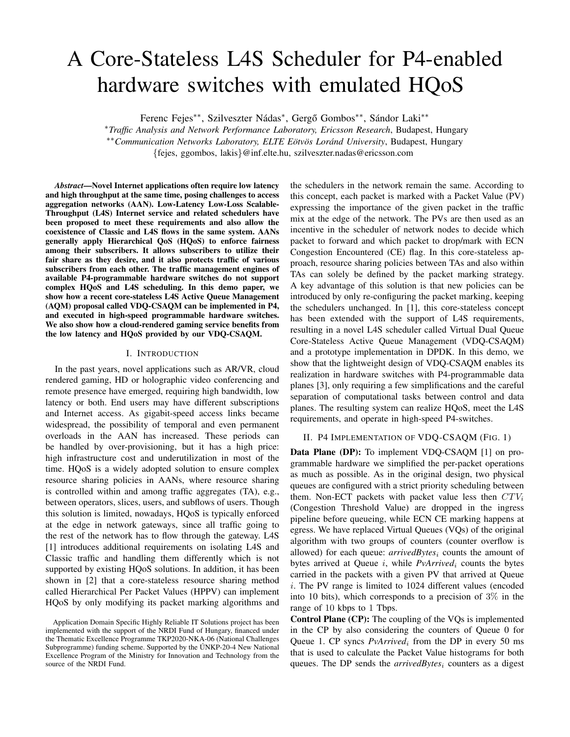# A Core-Stateless L4S Scheduler for P4-enabled hardware switches with emulated HQoS

Ferenc Fejes<sup>\*\*</sup>, Szilveszter Nádas<sup>\*</sup>, Gergő Gombos<sup>\*\*</sup>, Sándor Laki<sup>\*\*</sup>

<sup>∗</sup>*Traffic Analysis and Network Performance Laboratory, Ericsson Research*, Budapest, Hungary ∗∗*Communication Networks Laboratory, ELTE Eotv ¨ os Lor ¨ and University ´* , Budapest, Hungary {fejes, ggombos, lakis}@inf.elte.hu, szilveszter.nadas@ericsson.com

*Abstract*—Novel Internet applications often require low latency and high throughput at the same time, posing challenges to access aggregation networks (AAN). Low-Latency Low-Loss Scalable-Throughput (L4S) Internet service and related schedulers have been proposed to meet these requirements and also allow the coexistence of Classic and L4S flows in the same system. AANs generally apply Hierarchical QoS (HQoS) to enforce fairness among their subscribers. It allows subscribers to utilize their fair share as they desire, and it also protects traffic of various subscribers from each other. The traffic management engines of available P4-programmable hardware switches do not support complex HQoS and L4S scheduling. In this demo paper, we show how a recent core-stateless L4S Active Queue Management (AQM) proposal called VDQ-CSAQM can be implemented in P4, and executed in high-speed programmable hardware switches. We also show how a cloud-rendered gaming service benefits from the low latency and HQoS provided by our VDQ-CSAQM.

### I. INTRODUCTION

In the past years, novel applications such as AR/VR, cloud rendered gaming, HD or holographic video conferencing and remote presence have emerged, requiring high bandwidth, low latency or both. End users may have different subscriptions and Internet access. As gigabit-speed access links became widespread, the possibility of temporal and even permanent overloads in the AAN has increased. These periods can be handled by over-provisioning, but it has a high price: high infrastructure cost and underutilization in most of the time. HQoS is a widely adopted solution to ensure complex resource sharing policies in AANs, where resource sharing is controlled within and among traffic aggregates (TA), e.g., between operators, slices, users, and subflows of users. Though this solution is limited, nowadays, HQoS is typically enforced at the edge in network gateways, since all traffic going to the rest of the network has to flow through the gateway. L4S [1] introduces additional requirements on isolating L4S and Classic traffic and handling them differently which is not supported by existing HQoS solutions. In addition, it has been shown in [2] that a core-stateless resource sharing method called Hierarchical Per Packet Values (HPPV) can implement HQoS by only modifying its packet marking algorithms and

the schedulers in the network remain the same. According to this concept, each packet is marked with a Packet Value (PV) expressing the importance of the given packet in the traffic mix at the edge of the network. The PVs are then used as an incentive in the scheduler of network nodes to decide which packet to forward and which packet to drop/mark with ECN Congestion Encountered (CE) flag. In this core-stateless approach, resource sharing policies between TAs and also within TAs can solely be defined by the packet marking strategy. A key advantage of this solution is that new policies can be introduced by only re-configuring the packet marking, keeping the schedulers unchanged. In [1], this core-stateless concept has been extended with the support of L4S requirements, resulting in a novel L4S scheduler called Virtual Dual Queue Core-Stateless Active Queue Management (VDQ-CSAQM) and a prototype implementation in DPDK. In this demo, we show that the lightweight design of VDQ-CSAQM enables its realization in hardware switches with P4-programmable data planes [3], only requiring a few simplifications and the careful separation of computational tasks between control and data planes. The resulting system can realize HQoS, meet the L4S requirements, and operate in high-speed P4-switches.

## II. P4 IMPLEMENTATION OF VDQ-CSAQM (FIG. 1)

Data Plane (DP): To implement VDQ-CSAQM [1] on programmable hardware we simplified the per-packet operations as much as possible. As in the original design, two physical queues are configured with a strict priority scheduling between them. Non-ECT packets with packet value less then  $CTV_i$ (Congestion Threshold Value) are dropped in the ingress pipeline before queueing, while ECN CE marking happens at egress. We have replaced Virtual Queues (VQs) of the original algorithm with two groups of counters (counter overflow is allowed) for each queue: *arrivedBytes<sub>i</sub>* counts the amount of bytes arrived at Queue i, while *PvArrived*<sub>i</sub> counts the bytes carried in the packets with a given PV that arrived at Queue i. The PV range is limited to 1024 different values (encoded into 10 bits), which corresponds to a precision of  $3\%$  in the range of 10 kbps to 1 Tbps.

Control Plane (CP): The coupling of the VQs is implemented in the CP by also considering the counters of Queue 0 for Queue 1. CP syncs *PvArrived*<sub>i</sub> from the DP in every 50 ms that is used to calculate the Packet Value histograms for both queues. The DP sends the *arrivedBytes<sub>i</sub>* counters as a digest

Application Domain Specific Highly Reliable IT Solutions project has been implemented with the support of the NRDI Fund of Hungary, financed under the Thematic Excellence Programme TKP2020-NKA-06 (National Challenges Subprogramme) funding scheme. Supported by the ÚNKP-20-4 New National Excellence Program of the Ministry for Innovation and Technology from the source of the NRDI Fund.